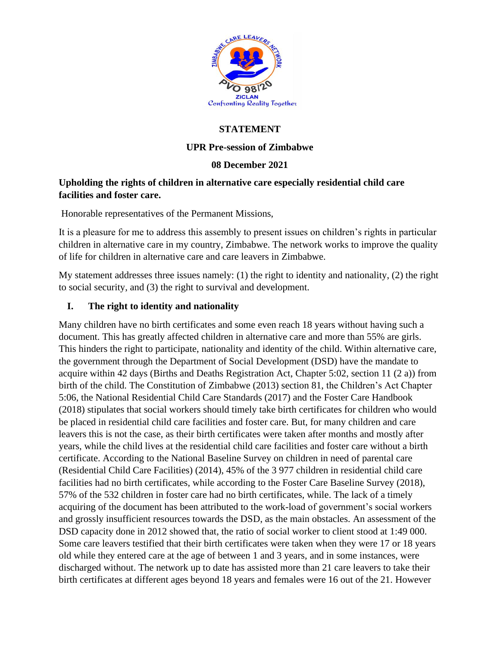

# **STATEMENT**

### **UPR Pre-session of Zimbabwe**

### **08 December 2021**

### **Upholding the rights of children in alternative care especially residential child care facilities and foster care.**

Honorable representatives of the Permanent Missions,

It is a pleasure for me to address this assembly to present issues on children's rights in particular children in alternative care in my country, Zimbabwe. The network works to improve the quality of life for children in alternative care and care leavers in Zimbabwe.

My statement addresses three issues namely: (1) the right to identity and nationality, (2) the right to social security, and (3) the right to survival and development.

### **I. The right to identity and nationality**

Many children have no birth certificates and some even reach 18 years without having such a document. This has greatly affected children in alternative care and more than 55% are girls. This hinders the right to participate, nationality and identity of the child. Within alternative care, the government through the Department of Social Development (DSD) have the mandate to acquire within 42 days (Births and Deaths Registration Act, Chapter 5:02, section 11 (2 a)) from birth of the child. The Constitution of Zimbabwe (2013) section 81, the Children's Act Chapter 5:06, the National Residential Child Care Standards (2017) and the Foster Care Handbook (2018) stipulates that social workers should timely take birth certificates for children who would be placed in residential child care facilities and foster care. But, for many children and care leavers this is not the case, as their birth certificates were taken after months and mostly after years, while the child lives at the residential child care facilities and foster care without a birth certificate. According to the National Baseline Survey on children in need of parental care (Residential Child Care Facilities) (2014), 45% of the 3 977 children in residential child care facilities had no birth certificates, while according to the Foster Care Baseline Survey (2018), 57% of the 532 children in foster care had no birth certificates, while. The lack of a timely acquiring of the document has been attributed to the work-load of government's social workers and grossly insufficient resources towards the DSD, as the main obstacles. An assessment of the DSD capacity done in 2012 showed that, the ratio of social worker to client stood at 1:49 000. Some care leavers testified that their birth certificates were taken when they were 17 or 18 years old while they entered care at the age of between 1 and 3 years, and in some instances, were discharged without. The network up to date has assisted more than 21 care leavers to take their birth certificates at different ages beyond 18 years and females were 16 out of the 21. However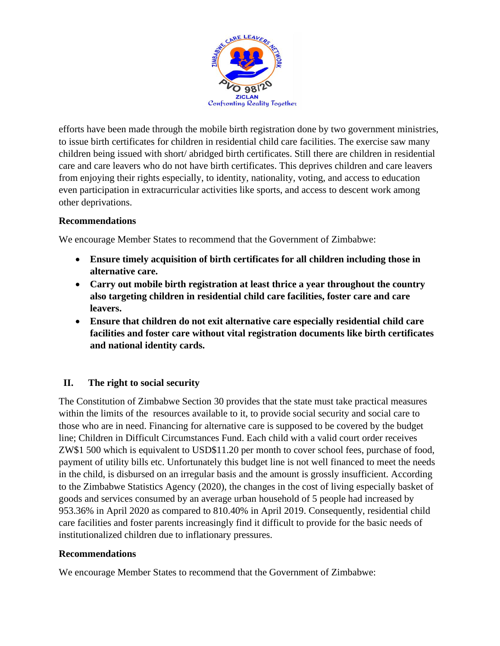

efforts have been made through the mobile birth registration done by two government ministries, to issue birth certificates for children in residential child care facilities. The exercise saw many children being issued with short/ abridged birth certificates. Still there are children in residential care and care leavers who do not have birth certificates. This deprives children and care leavers from enjoying their rights especially, to identity, nationality, voting, and access to education even participation in extracurricular activities like sports, and access to descent work among other deprivations.

#### **Recommendations**

We encourage Member States to recommend that the Government of Zimbabwe:

- **Ensure timely acquisition of birth certificates for all children including those in alternative care.**
- **Carry out mobile birth registration at least thrice a year throughout the country also targeting children in residential child care facilities, foster care and care leavers.**
- **Ensure that children do not exit alternative care especially residential child care facilities and foster care without vital registration documents like birth certificates and national identity cards.**

## **II. The right to social security**

The Constitution of Zimbabwe Section 30 provides that the state must take practical measures within the limits of the resources available to it, to provide social security and social care to those who are in need. Financing for alternative care is supposed to be covered by the budget line; Children in Difficult Circumstances Fund. Each child with a valid court order receives ZW\$1 500 which is equivalent to USD\$11.20 per month to cover school fees, purchase of food, payment of utility bills etc. Unfortunately this budget line is not well financed to meet the needs in the child, is disbursed on an irregular basis and the amount is grossly insufficient. According to the Zimbabwe Statistics Agency (2020), the changes in the cost of living especially basket of goods and services consumed by an average urban household of 5 people had increased by 953.36% in April 2020 as compared to 810.40% in April 2019. Consequently, residential child care facilities and foster parents increasingly find it difficult to provide for the basic needs of institutionalized children due to inflationary pressures.

#### **Recommendations**

We encourage Member States to recommend that the Government of Zimbabwe: